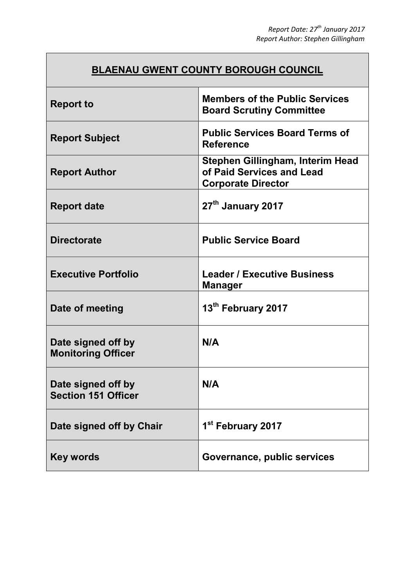## **BLAENAU GWENT COUNTY BOROUGH COUNCIL**

| <b>Report to</b>                                 | <b>Members of the Public Services</b><br><b>Board Scrutiny Committee</b>                   |
|--------------------------------------------------|--------------------------------------------------------------------------------------------|
| <b>Report Subject</b>                            | <b>Public Services Board Terms of</b><br><b>Reference</b>                                  |
| <b>Report Author</b>                             | Stephen Gillingham, Interim Head<br>of Paid Services and Lead<br><b>Corporate Director</b> |
| <b>Report date</b>                               | 27 <sup>th</sup> January 2017                                                              |
| <b>Directorate</b>                               | <b>Public Service Board</b>                                                                |
| <b>Executive Portfolio</b>                       | <b>Leader / Executive Business</b><br><b>Manager</b>                                       |
| Date of meeting                                  | 13th February 2017                                                                         |
| Date signed off by<br><b>Monitoring Officer</b>  | N/A                                                                                        |
| Date signed off by<br><b>Section 151 Officer</b> | N/A                                                                                        |
| Date signed off by Chair                         | 1 <sup>st</sup> February 2017                                                              |
| <b>Key words</b>                                 | Governance, public services                                                                |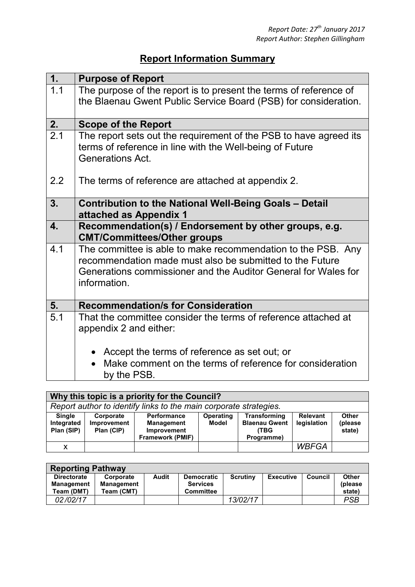## **Report Information Summary**

| 1.                        | <b>Purpose of Report</b>                                                                                                                                                                                   |
|---------------------------|------------------------------------------------------------------------------------------------------------------------------------------------------------------------------------------------------------|
| 1.1                       | The purpose of the report is to present the terms of reference of<br>the Blaenau Gwent Public Service Board (PSB) for consideration.                                                                       |
| 2.                        | <b>Scope of the Report</b>                                                                                                                                                                                 |
| 2.1                       | The report sets out the requirement of the PSB to have agreed its<br>terms of reference in line with the Well-being of Future<br><b>Generations Act.</b>                                                   |
| 2.2                       | The terms of reference are attached at appendix 2.                                                                                                                                                         |
| 3.                        | <b>Contribution to the National Well-Being Goals - Detail</b><br>attached as Appendix 1                                                                                                                    |
| $\overline{\mathbf{4}}$ . | Recommendation(s) / Endorsement by other groups, e.g.<br><b>CMT/Committees/Other groups</b>                                                                                                                |
| 4.1                       | The committee is able to make recommendation to the PSB. Any<br>recommendation made must also be submitted to the Future<br>Generations commissioner and the Auditor General for Wales for<br>information. |
| 5.                        | <b>Recommendation/s for Consideration</b>                                                                                                                                                                  |
| 5.1                       | That the committee consider the terms of reference attached at<br>appendix 2 and either:                                                                                                                   |
|                           | • Accept the terms of reference as set out; or                                                                                                                                                             |
|                           | Make comment on the terms of reference for consideration<br>by the PSB.                                                                                                                                    |

| Why this topic is a priority for the Council?                     |                                        |                                                                                          |                           |                                                            |                                |                                   |
|-------------------------------------------------------------------|----------------------------------------|------------------------------------------------------------------------------------------|---------------------------|------------------------------------------------------------|--------------------------------|-----------------------------------|
| Report author to identify links to the main corporate strategies. |                                        |                                                                                          |                           |                                                            |                                |                                   |
| <b>Single</b><br>Integrated<br>Plan (SIP)                         | Corporate<br>Improvement<br>Plan (CIP) | <b>Performance</b><br><b>Management</b><br><b>Improvement</b><br><b>Framework (PMIF)</b> | <b>Operating</b><br>Model | Transforming<br><b>Blaenau Gwent</b><br>(TBG<br>Programme) | <b>Relevant</b><br>legislation | <b>Other</b><br>(please<br>state) |
| X                                                                 |                                        |                                                                                          |                           |                                                            | <b>WBFGA</b>                   |                                   |

| <b>Reporting Pathway</b>                       |                                              |       |                                                          |                 |                  |         |                             |
|------------------------------------------------|----------------------------------------------|-------|----------------------------------------------------------|-----------------|------------------|---------|-----------------------------|
| <b>Directorate</b><br>Management<br>Team (DMT) | Corporate<br><b>Management</b><br>Team (CMT) | Audit | <b>Democratic</b><br><b>Services</b><br><b>Committee</b> | <b>Scrutiny</b> | <b>Executive</b> | Council | Other<br>(please)<br>state) |
| 02/02/17                                       |                                              |       |                                                          | 13/02/17        |                  |         | PSB                         |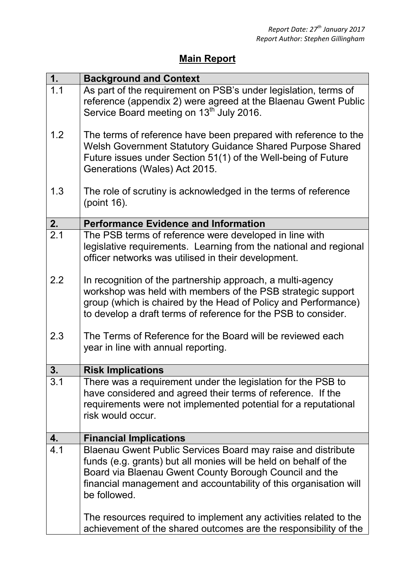## **Main Report**

| 1.               | <b>Background and Context</b>                                                                                                                                                                                                                                                                                                                        |
|------------------|------------------------------------------------------------------------------------------------------------------------------------------------------------------------------------------------------------------------------------------------------------------------------------------------------------------------------------------------------|
| 1.1              | As part of the requirement on PSB's under legislation, terms of<br>reference (appendix 2) were agreed at the Blaenau Gwent Public<br>Service Board meeting on 13 <sup>th</sup> July 2016.                                                                                                                                                            |
| 1.2              | The terms of reference have been prepared with reference to the<br>Welsh Government Statutory Guidance Shared Purpose Shared<br>Future issues under Section 51(1) of the Well-being of Future<br>Generations (Wales) Act 2015.                                                                                                                       |
| 1.3              | The role of scrutiny is acknowledged in the terms of reference<br>(point 16).                                                                                                                                                                                                                                                                        |
| 2.               | <b>Performance Evidence and Information</b>                                                                                                                                                                                                                                                                                                          |
| $\overline{2.1}$ | The PSB terms of reference were developed in line with<br>legislative requirements. Learning from the national and regional<br>officer networks was utilised in their development.                                                                                                                                                                   |
| 2.2              | In recognition of the partnership approach, a multi-agency<br>workshop was held with members of the PSB strategic support<br>group (which is chaired by the Head of Policy and Performance)<br>to develop a draft terms of reference for the PSB to consider.                                                                                        |
| 2.3              | The Terms of Reference for the Board will be reviewed each<br>year in line with annual reporting.                                                                                                                                                                                                                                                    |
| 3.               | <b>Risk Implications</b>                                                                                                                                                                                                                                                                                                                             |
| 3.1              | There was a requirement under the legislation for the PSB to<br>have considered and agreed their terms of reference. If the<br>requirements were not implemented potential for a reputational<br>risk would occur.                                                                                                                                   |
| 4.               | <b>Financial Implications</b>                                                                                                                                                                                                                                                                                                                        |
| 4.1              | Blaenau Gwent Public Services Board may raise and distribute<br>funds (e.g. grants) but all monies will be held on behalf of the<br>Board via Blaenau Gwent County Borough Council and the<br>financial management and accountability of this organisation will<br>be followed.<br>The resources required to implement any activities related to the |
|                  | achievement of the shared outcomes are the responsibility of the                                                                                                                                                                                                                                                                                     |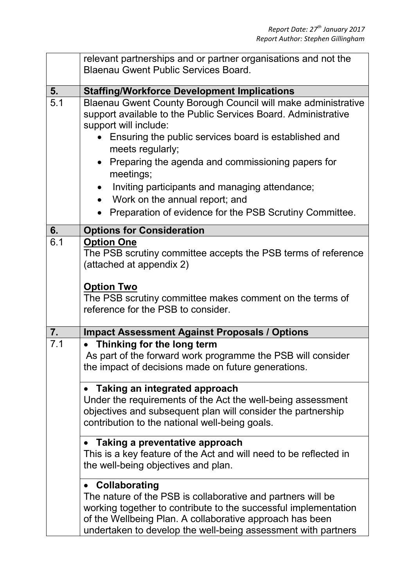|                  | relevant partnerships and or partner organisations and not the<br><b>Blaenau Gwent Public Services Board.</b>                                                                                                                                                                                                                                                                                                                                                                                              |  |  |  |
|------------------|------------------------------------------------------------------------------------------------------------------------------------------------------------------------------------------------------------------------------------------------------------------------------------------------------------------------------------------------------------------------------------------------------------------------------------------------------------------------------------------------------------|--|--|--|
| 5.               | <b>Staffing/Workforce Development Implications</b>                                                                                                                                                                                                                                                                                                                                                                                                                                                         |  |  |  |
| $\overline{5.1}$ | Blaenau Gwent County Borough Council will make administrative<br>support available to the Public Services Board. Administrative<br>support will include:<br>Ensuring the public services board is established and<br>meets regularly;<br>Preparing the agenda and commissioning papers for<br>$\bullet$<br>meetings;<br>Inviting participants and managing attendance;<br>$\bullet$<br>Work on the annual report; and<br>$\bullet$<br>Preparation of evidence for the PSB Scrutiny Committee.<br>$\bullet$ |  |  |  |
| 6.               | <b>Options for Consideration</b>                                                                                                                                                                                                                                                                                                                                                                                                                                                                           |  |  |  |
| 6.1              | <b>Option One</b><br>The PSB scrutiny committee accepts the PSB terms of reference<br>(attached at appendix 2)<br><b>Option Two</b><br>The PSB scrutiny committee makes comment on the terms of<br>reference for the PSB to consider.                                                                                                                                                                                                                                                                      |  |  |  |
| 7.               | <b>Impact Assessment Against Proposals / Options</b>                                                                                                                                                                                                                                                                                                                                                                                                                                                       |  |  |  |
| 7.1              | Thinking for the long term<br>As part of the forward work programme the PSB will consider<br>the impact of decisions made on future generations.                                                                                                                                                                                                                                                                                                                                                           |  |  |  |
|                  | • Taking an integrated approach<br>Under the requirements of the Act the well-being assessment<br>objectives and subsequent plan will consider the partnership<br>contribution to the national well-being goals.                                                                                                                                                                                                                                                                                           |  |  |  |
|                  | Taking a preventative approach<br>This is a key feature of the Act and will need to be reflected in<br>the well-being objectives and plan.                                                                                                                                                                                                                                                                                                                                                                 |  |  |  |
|                  | <b>Collaborating</b><br>$\bullet$<br>The nature of the PSB is collaborative and partners will be<br>working together to contribute to the successful implementation<br>of the Wellbeing Plan. A collaborative approach has been<br>undertaken to develop the well-being assessment with partners                                                                                                                                                                                                           |  |  |  |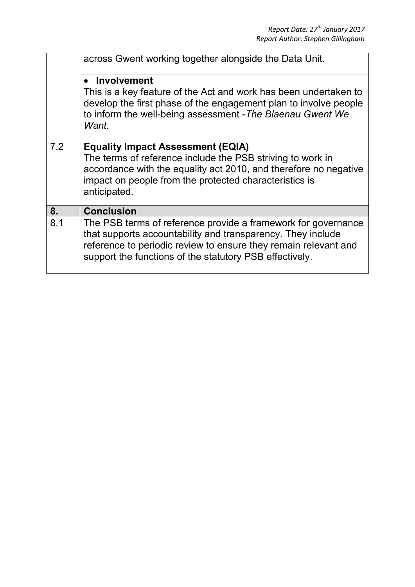|     | across Gwent working together alongside the Data Unit.                                                                                                                                                                                                     |  |  |  |  |
|-----|------------------------------------------------------------------------------------------------------------------------------------------------------------------------------------------------------------------------------------------------------------|--|--|--|--|
|     | Involvement<br>This is a key feature of the Act and work has been undertaken to<br>develop the first phase of the engagement plan to involve people<br>to inform the well-being assessment - The Blaenau Gwent We<br>Want.                                 |  |  |  |  |
| 7.2 | <b>Equality Impact Assessment (EQIA)</b><br>The terms of reference include the PSB striving to work in<br>accordance with the equality act 2010, and therefore no negative<br>impact on people from the protected characteristics is<br>anticipated.       |  |  |  |  |
| 8.  | <b>Conclusion</b>                                                                                                                                                                                                                                          |  |  |  |  |
| 8.1 | The PSB terms of reference provide a framework for governance<br>that supports accountability and transparency. They include<br>reference to periodic review to ensure they remain relevant and<br>support the functions of the statutory PSB effectively. |  |  |  |  |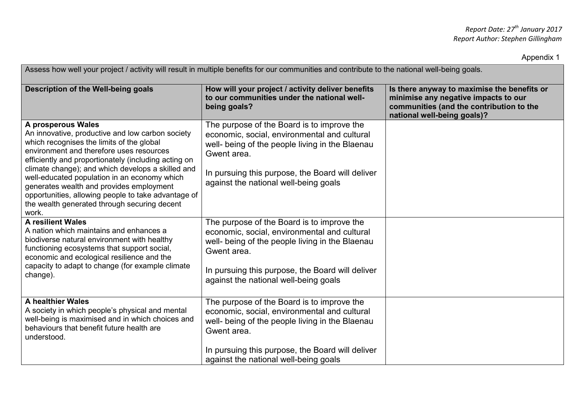Appendix 1

| Assess how well your project / activity will result in multiple benefits for our communities and contribute to the national well-being goals.                                                                                                                                                                                                                                                                                                                                            |                                                                                                                                                                                                                                                           |                                                                                                                                                                |  |  |
|------------------------------------------------------------------------------------------------------------------------------------------------------------------------------------------------------------------------------------------------------------------------------------------------------------------------------------------------------------------------------------------------------------------------------------------------------------------------------------------|-----------------------------------------------------------------------------------------------------------------------------------------------------------------------------------------------------------------------------------------------------------|----------------------------------------------------------------------------------------------------------------------------------------------------------------|--|--|
| Description of the Well-being goals                                                                                                                                                                                                                                                                                                                                                                                                                                                      | How will your project / activity deliver benefits<br>to our communities under the national well-<br>being goals?                                                                                                                                          | Is there anyway to maximise the benefits or<br>minimise any negative impacts to our<br>communities (and the contribution to the<br>national well-being goals)? |  |  |
| A prosperous Wales<br>An innovative, productive and low carbon society<br>which recognises the limits of the global<br>environment and therefore uses resources<br>efficiently and proportionately (including acting on<br>climate change); and which develops a skilled and<br>well-educated population in an economy which<br>generates wealth and provides employment<br>opportunities, allowing people to take advantage of<br>the wealth generated through securing decent<br>work. | The purpose of the Board is to improve the<br>economic, social, environmental and cultural<br>well- being of the people living in the Blaenau<br>Gwent area.<br>In pursuing this purpose, the Board will deliver<br>against the national well-being goals |                                                                                                                                                                |  |  |
| <b>A resilient Wales</b><br>A nation which maintains and enhances a<br>biodiverse natural environment with healthy<br>functioning ecosystems that support social,<br>economic and ecological resilience and the<br>capacity to adapt to change (for example climate<br>change).                                                                                                                                                                                                          | The purpose of the Board is to improve the<br>economic, social, environmental and cultural<br>well- being of the people living in the Blaenau<br>Gwent area.<br>In pursuing this purpose, the Board will deliver<br>against the national well-being goals |                                                                                                                                                                |  |  |
| A healthier Wales<br>A society in which people's physical and mental<br>well-being is maximised and in which choices and<br>behaviours that benefit future health are<br>understood.                                                                                                                                                                                                                                                                                                     | The purpose of the Board is to improve the<br>economic, social, environmental and cultural<br>well- being of the people living in the Blaenau<br>Gwent area.<br>In pursuing this purpose, the Board will deliver<br>against the national well-being goals |                                                                                                                                                                |  |  |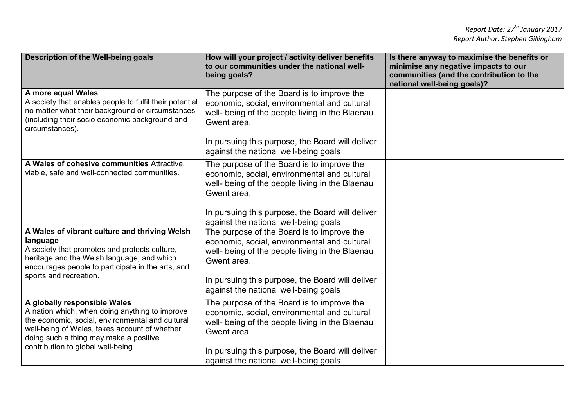| Description of the Well-being goals                                                                                                                                                                                                                                 | How will your project / activity deliver benefits<br>to our communities under the national well-<br>being goals?                                                                                                                                          | Is there anyway to maximise the benefits or<br>minimise any negative impacts to our<br>communities (and the contribution to the<br>national well-being goals)? |
|---------------------------------------------------------------------------------------------------------------------------------------------------------------------------------------------------------------------------------------------------------------------|-----------------------------------------------------------------------------------------------------------------------------------------------------------------------------------------------------------------------------------------------------------|----------------------------------------------------------------------------------------------------------------------------------------------------------------|
| A more equal Wales<br>A society that enables people to fulfil their potential<br>no matter what their background or circumstances<br>(including their socio economic background and<br>circumstances).                                                              | The purpose of the Board is to improve the<br>economic, social, environmental and cultural<br>well- being of the people living in the Blaenau<br>Gwent area.                                                                                              |                                                                                                                                                                |
|                                                                                                                                                                                                                                                                     | In pursuing this purpose, the Board will deliver<br>against the national well-being goals                                                                                                                                                                 |                                                                                                                                                                |
| A Wales of cohesive communities Attractive,<br>viable, safe and well-connected communities.                                                                                                                                                                         | The purpose of the Board is to improve the<br>economic, social, environmental and cultural<br>well- being of the people living in the Blaenau<br>Gwent area.<br>In pursuing this purpose, the Board will deliver<br>against the national well-being goals |                                                                                                                                                                |
| A Wales of vibrant culture and thriving Welsh<br>language<br>A society that promotes and protects culture,<br>heritage and the Welsh language, and which<br>encourages people to participate in the arts, and<br>sports and recreation.                             | The purpose of the Board is to improve the<br>economic, social, environmental and cultural<br>well- being of the people living in the Blaenau<br>Gwent area.<br>In pursuing this purpose, the Board will deliver<br>against the national well-being goals |                                                                                                                                                                |
| A globally responsible Wales<br>A nation which, when doing anything to improve<br>the economic, social, environmental and cultural<br>well-being of Wales, takes account of whether<br>doing such a thing may make a positive<br>contribution to global well-being. | The purpose of the Board is to improve the<br>economic, social, environmental and cultural<br>well- being of the people living in the Blaenau<br>Gwent area.<br>In pursuing this purpose, the Board will deliver<br>against the national well-being goals |                                                                                                                                                                |